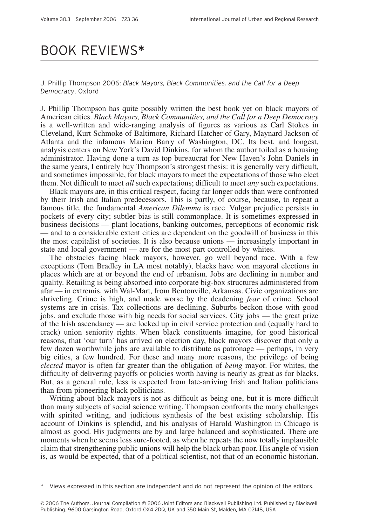# BOOK REVIEWS\*

J. Phillip Thompson 2006: *Black Mayors, Black Communities, and the Call for a Deep Democracy*. Oxford

J. Phillip Thompson has quite possibly written the best book yet on black mayors of American cities. *Black Mayors, Black Communities, and the Call for a Deep Democracy* is a well-written and wide-ranging analysis of figures as various as Carl Stokes in Cleveland, Kurt Schmoke of Baltimore, Richard Hatcher of Gary, Maynard Jackson of Atlanta and the infamous Marion Barry of Washington, DC. Its best, and longest, analysis centers on New York's David Dinkins, for whom the author toiled as a housing administrator. Having done a turn as top bureaucrat for New Haven's John Daniels in the same years, I entirely buy Thompson's strongest thesis: it is generally very difficult, and sometimes impossible, for black mayors to meet the expectations of those who elect them. Not difficult to meet *all* such expectations; difficult to meet *any* such expectations.

Black mayors are, in this critical respect, facing far longer odds than were confronted by their Irish and Italian predecessors. This is partly, of course, because, to repeat a famous title, the fundamental *American Dilemma* is race. Vulgar prejudice persists in pockets of every city; subtler bias is still commonplace. It is sometimes expressed in business decisions — plant locations, banking outcomes, perceptions of economic risk — and to a considerable extent cities are dependent on the goodwill of business in this the most capitalist of societies. It is also because unions — increasingly important in state and local government — are for the most part controlled by whites.

The obstacles facing black mayors, however, go well beyond race. With a few exceptions (Tom Bradley in LA most notably), blacks have won mayoral elections in places which are at or beyond the end of urbanism. Jobs are declining in number and quality. Retailing is being absorbed into corporate big-box structures administered from afar — in extremis, with Wal-Mart, from Bentonville, Arkansas. Civic organizations are shriveling. Crime is high, and made worse by the deadening *fear* of crime. School systems are in crisis. Tax collections are declining. Suburbs beckon those with good jobs, and exclude those with big needs for social services. City jobs — the great prize of the Irish ascendancy — are locked up in civil service protection and (equally hard to crack) union seniority rights. When black constituents imagine, for good historical reasons, that 'our turn' has arrived on election day, black mayors discover that only a few dozen worthwhile jobs are available to distribute as patronage — perhaps, in very big cities, a few hundred. For these and many more reasons, the privilege of being *elected* mayor is often far greater than the obligation of *being* mayor. For whites, the difficulty of delivering payoffs or policies worth having is nearly as great as for blacks. But, as a general rule, less is expected from late-arriving Irish and Italian politicians than from pioneering black politicians.

Writing about black mayors is not as difficult as being one, but it is more difficult than many subjects of social science writing. Thompson confronts the many challenges with spirited writing, and judicious synthesis of the best existing scholarship. His account of Dinkins is splendid, and his analysis of Harold Washington in Chicago is almost as good. His judgments are by and large balanced and sophisticated. There are moments when he seems less sure-footed, as when he repeats the now totally implausible claim that strengthening public unions will help the black urban poor. His angle of vision is, as would be expected, that of a political scientist, not that of an economic historian.

\* Views expressed in this section are independent and do not represent the opinion of the editors.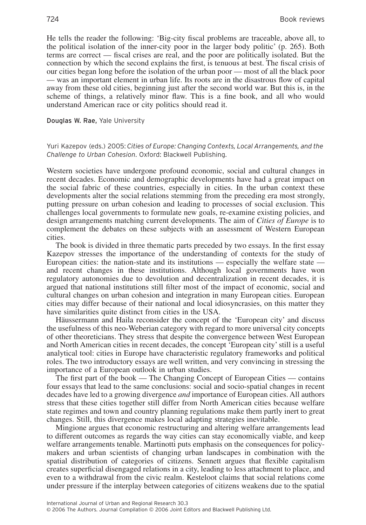He tells the reader the following: 'Big-city fiscal problems are traceable, above all, to the political isolation of the inner-city poor in the larger body politic' (p. 265). Both terms are correct — fiscal crises are real, and the poor are politically isolated. But the connection by which the second explains the first, is tenuous at best. The fiscal crisis of our cities began long before the isolation of the urban poor — most of all the black poor — was an important element in urban life. Its roots are in the disastrous flow of capital away from these old cities, beginning just after the second world war. But this is, in the scheme of things, a relatively minor flaw. This is a fine book, and all who would understand American race or city politics should read it.

#### Douglas W. Rae, Yale University

## Yuri Kazepov (eds.) 2005: *Cities of Europe: Changing Contexts, Local Arrangements, and the Challenge to Urban Cohesion*. Oxford: Blackwell Publishing.

Western societies have undergone profound economic, social and cultural changes in recent decades. Economic and demographic developments have had a great impact on the social fabric of these countries, especially in cities. In the urban context these developments alter the social relations stemming from the preceding era most strongly, putting pressure on urban cohesion and leading to processes of social exclusion. This challenges local governments to formulate new goals, re-examine existing policies, and design arrangements matching current developments. The aim of *Cities of Europe* is to complement the debates on these subjects with an assessment of Western European cities.

The book is divided in three thematic parts preceded by two essays. In the first essay Kazepov stresses the importance of the understanding of contexts for the study of European cities: the nation-state and its institutions — especially the welfare state and recent changes in these institutions. Although local governments have won regulatory autonomies due to devolution and decentralization in recent decades, it is argued that national institutions still filter most of the impact of economic, social and cultural changes on urban cohesion and integration in many European cities. European cities may differ because of their national and local idiosyncrasies, on this matter they have similarities quite distinct from cities in the USA.

Häussermann and Haila reconsider the concept of the 'European city' and discuss the usefulness of this neo-Weberian category with regard to more universal city concepts of other theoreticians. They stress that despite the convergence between West European and North American cities in recent decades, the concept 'European city' still is a useful analytical tool: cities in Europe have characteristic regulatory frameworks and political roles. The two introductory essays are well written, and very convincing in stressing the importance of a European outlook in urban studies.

The first part of the book — The Changing Concept of European Cities — contains four essays that lead to the same conclusions: social and socio-spatial changes in recent decades have led to a growing divergence *and* importance of European cities. All authors stress that these cities together still differ from North American cities because welfare state regimes and town and country planning regulations make them partly inert to great changes. Still, this divergence makes local adapting strategies inevitable.

Mingione argues that economic restructuring and altering welfare arrangements lead to different outcomes as regards the way cities can stay economically viable, and keep welfare arrangements tenable. Martinotti puts emphasis on the consequences for policymakers and urban scientists of changing urban landscapes in combination with the spatial distribution of categories of citizens. Sennett argues that flexible capitalism creates superficial disengaged relations in a city, leading to less attachment to place, and even to a withdrawal from the civic realm. Kesteloot claims that social relations come under pressure if the interplay between categories of citizens weakens due to the spatial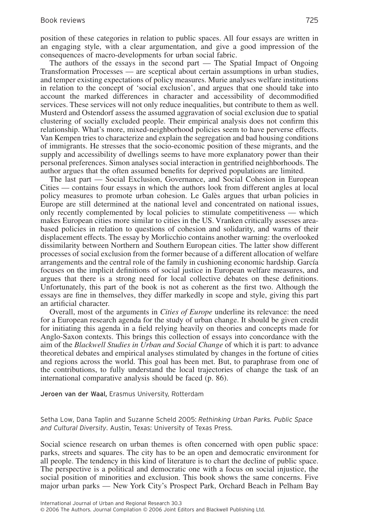position of these categories in relation to public spaces. All four essays are written in an engaging style, with a clear argumentation, and give a good impression of the consequences of macro-developments for urban social fabric.

The authors of the essays in the second part — The Spatial Impact of Ongoing Transformation Processes — are sceptical about certain assumptions in urban studies, and temper existing expectations of policy measures. Murie analyses welfare institutions in relation to the concept of 'social exclusion', and argues that one should take into account the marked differences in character and accessibility of decommodified services. These services will not only reduce inequalities, but contribute to them as well. Musterd and Ostendorf assess the assumed aggravation of social exclusion due to spatial clustering of socially excluded people. Their empirical analysis does not confirm this relationship. What's more, mixed-neighborhood policies seem to have perverse effects. Van Kempen tries to characterize and explain the segregation and bad housing conditions of immigrants. He stresses that the socio-economic position of these migrants, and the supply and accessibility of dwellings seems to have more explanatory power than their personal preferences. Simon analyses social interaction in gentrified neighborhoods. The author argues that the often assumed benefits for deprived populations are limited.

The last part — Social Exclusion, Governance, and Social Cohesion in European Cities — contains four essays in which the authors look from different angles at local policy measures to promote urban cohesion. Le Galès argues that urban policies in Europe are still determined at the national level and concentrated on national issues, only recently complemented by local policies to stimulate competitiveness — which makes European cities more similar to cities in the US. Vranken critically assesses areabased policies in relation to questions of cohesion and solidarity, and warns of their displacement effects. The essay by Morlicchio contains another warning: the overlooked dissimilarity between Northern and Southern European cities. The latter show different processes of social exclusion from the former because of a different allocation of welfare arrangements and the central role of the family in cushioning economic hardship. García focuses on the implicit definitions of social justice in European welfare measures, and argues that there is a strong need for local collective debates on these definitions. Unfortunately, this part of the book is not as coherent as the first two. Although the essays are fine in themselves, they differ markedly in scope and style, giving this part an artificial character.

Overall, most of the arguments in *Cities of Europe* underline its relevance: the need for a European research agenda for the study of urban change. It should be given credit for initiating this agenda in a field relying heavily on theories and concepts made for Anglo-Saxon contexts. This brings this collection of essays into concordance with the aim of the *Blackwell Studies in Urban and Social Change* of which it is part: to advance theoretical debates and empirical analyses stimulated by changes in the fortune of cities and regions across the world. This goal has been met. But, to paraphrase from one of the contributions, to fully understand the local trajectories of change the task of an international comparative analysis should be faced (p. 86).

Jeroen van der Waal, Erasmus University, Rotterdam

Setha Low, Dana Taplin and Suzanne Scheld 2005: *Rethinking Urban Parks. Public Space and Cultural Diversity*. Austin, Texas: University of Texas Press.

Social science research on urban themes is often concerned with open public space: parks, streets and squares. The city has to be an open and democratic environment for all people. The tendency in this kind of literature is to chart the decline of public space. The perspective is a political and democratic one with a focus on social injustice, the social position of minorities and exclusion. This book shows the same concerns. Five major urban parks — New York City's Prospect Park, Orchard Beach in Pelham Bay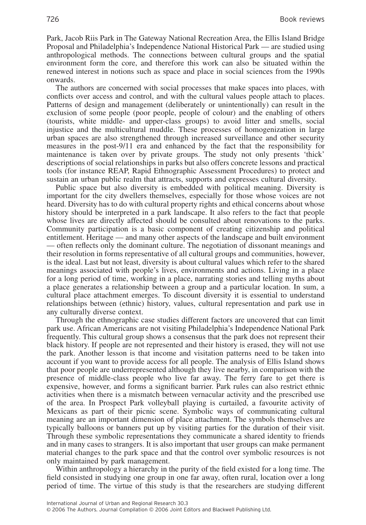Park, Jacob Riis Park in The Gateway National Recreation Area, the Ellis Island Bridge Proposal and Philadelphia's Independence National Historical Park — are studied using anthropological methods. The connections between cultural groups and the spatial environment form the core, and therefore this work can also be situated within the renewed interest in notions such as space and place in social sciences from the 1990s onwards.

The authors are concerned with social processes that make spaces into places, with conflicts over access and control, and with the cultural values people attach to places. Patterns of design and management (deliberately or unintentionally) can result in the exclusion of some people (poor people, people of colour) and the enabling of others (tourists, white middle- and upper-class groups) to avoid litter and smells, social injustice and the multicultural muddle. These processes of homogenization in large urban spaces are also strengthened through increased surveillance and other security measures in the post-9/11 era and enhanced by the fact that the responsibility for maintenance is taken over by private groups. The study not only presents 'thick' descriptions of social relationships in parks but also offers concrete lessons and practical tools (for instance REAP, Rapid Ethnographic Assessment Procedures) to protect and sustain an urban public realm that attracts, supports and expresses cultural diversity.

Public space but also diversity is embedded with political meaning. Diversity is important for the city dwellers themselves, especially for those whose voices are not heard. Diversity has to do with cultural property rights and ethical concerns about whose history should be interpreted in a park landscape. It also refers to the fact that people whose lives are directly affected should be consulted about renovations to the parks. Community participation is a basic component of creating citizenship and political entitlement. Heritage — and many other aspects of the landscape and built environment — often reflects only the dominant culture. The negotiation of dissonant meanings and their resolution in forms representative of all cultural groups and communities, however, is the ideal. Last but not least, diversity is about cultural values which refer to the shared meanings associated with people's lives, environments and actions. Living in a place for a long period of time, working in a place, narrating stories and telling myths about a place generates a relationship between a group and a particular location. In sum, a cultural place attachment emerges. To discount diversity it is essential to understand relationships between (ethnic) history, values, cultural representation and park use in any culturally diverse context.

Through the ethnographic case studies different factors are uncovered that can limit park use. African Americans are not visiting Philadelphia's Independence National Park frequently. This cultural group shows a consensus that the park does not represent their black history. If people are not represented and their history is erased, they will not use the park. Another lesson is that income and visitation patterns need to be taken into account if you want to provide access for all people. The analysis of Ellis Island shows that poor people are underrepresented although they live nearby, in comparison with the presence of middle-class people who live far away. The ferry fare to get there is expensive, however, and forms a significant barrier. Park rules can also restrict ethnic activities when there is a mismatch between vernacular activity and the prescribed use of the area. In Prospect Park volleyball playing is curtailed, a favourite activity of Mexicans as part of their picnic scene. Symbolic ways of communicating cultural meaning are an important dimension of place attachment. The symbols themselves are typically balloons or banners put up by visiting parties for the duration of their visit. Through these symbolic representations they communicate a shared identity to friends and in many cases to strangers. It is also important that user groups can make permanent material changes to the park space and that the control over symbolic resources is not only maintained by park management.

Within anthropology a hierarchy in the purity of the field existed for a long time. The field consisted in studying one group in one far away, often rural, location over a long period of time. The virtue of this study is that the researchers are studying different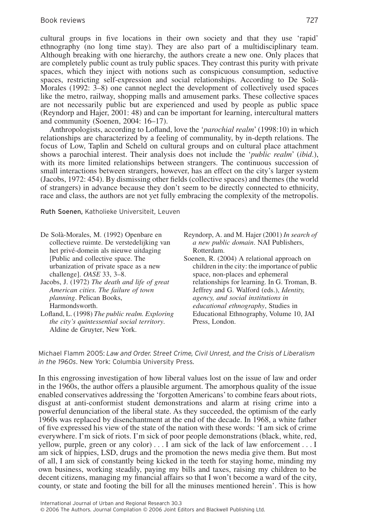cultural groups in five locations in their own society and that they use 'rapid' ethnography (no long time stay). They are also part of a multidisciplinary team. Although breaking with one hierarchy, the authors create a new one. Only places that are completely public count as truly public spaces. They contrast this purity with private spaces, which they inject with notions such as conspicuous consumption, seductive spaces, restricting self-expression and social relationships. According to De Solà-Morales (1992: 3–8) one cannot neglect the development of collectively used spaces like the metro, railway, shopping malls and amusement parks. These collective spaces are not necessarily public but are experienced and used by people as public space (Reyndorp and Hajer, 2001: 48) and can be important for learning, intercultural matters and community (Soenen, 2004: 16–17).

Anthropologists, according to Lofland, love the '*parochial realm*' (1998:10) in which relationships are characterized by a feeling of communality, by in-depth relations. The focus of Low, Taplin and Scheld on cultural groups and on cultural place attachment shows a parochial interest. Their analysis does not include the '*public realm*' (*ibid*.), with its more limited relationships between strangers. The continuous succession of small interactions between strangers, however, has an effect on the city's larger system (Jacobs, 1972: 454). By dismissing other fields (collective spaces) and themes (the world of strangers) in advance because they don't seem to be directly connected to ethnicity, race and class, the authors are not yet fully embracing the complexity of the metropolis.

Ruth Soenen, Katholieke Universiteit, Leuven

- De Solà-Morales, M. (1992) Openbare en collectieve ruimte. De verstedelijking van het privé-domein als nieuwe uitdaging [Public and collective space. The urbanization of private space as a new challenge]. *OASE* 33, 3–8.
- Jacobs, J. (1972) *The death and life of great American cities. The failure of town planning*. Pelican Books, Harmondsworth.
- Lofland, L. (1998) *The public realm. Exploring the city's quintessential social territory*. Aldine de Gruyter, New York.
- Reyndorp, A. and M. Hajer (2001) *In search of a new public domain*. NAI Publishers, Rotterdam.
- Soenen, R. (2004) A relational approach on children in the city: the importance of public space, non-places and ephemeral relationships for learning. In G. Troman, B. Jeffrey and G. Walford (eds.), *Identity, agency, and social institutions in educational ethnography*, Studies in Educational Ethnography, Volume 10, JAI Press, London.

Michael Flamm 2005: *Law and Order. Street Crime, Civil Unrest, and the Crisis of Liberalism in the 1960s*. New York: Columbia University Press.

In this engrossing investigation of how liberal values lost on the issue of law and order in the 1960s, the author offers a plausible argument. The amorphous quality of the issue enabled conservatives addressing the 'forgotten Americans' to combine fears about riots, disgust at anti-conformist student demonstrations and alarm at rising crime into a powerful denunciation of the liberal state. As they succeeded, the optimism of the early 1960s was replaced by disenchantment at the end of the decade. In 1968, a white father of five expressed his view of the state of the nation with these words: 'I am sick of crime everywhere. I'm sick of riots. I'm sick of poor people demonstrations (black, white, red, yellow, purple, green or any color) . . . I am sick of the lack of law enforcement . . . I am sick of hippies, LSD, drugs and the promotion the news media give them. But most of all, I am sick of constantly being kicked in the teeth for staying home, minding my own business, working steadily, paying my bills and taxes, raising my children to be decent citizens, managing my financial affairs so that I won't become a ward of the city, county, or state and footing the bill for all the minuses mentioned herein'. This is how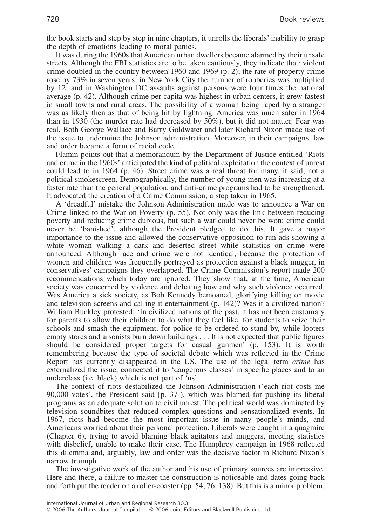the book starts and step by step in nine chapters, it unrolls the liberals' inability to grasp the depth of emotions leading to moral panics.

It was during the 1960s that American urban dwellers became alarmed by their unsafe streets. Although the FBI statistics are to be taken cautiously, they indicate that: violent crime doubled in the country between 1960 and 1969 (p. 2); the rate of property crime rose by 73% in seven years; in New York City the number of robberies was multiplied by 12; and in Washington DC assaults against persons were four times the national average (p. 42). Although crime per capita was highest in urban centers, it grew fastest in small towns and rural areas. The possibility of a woman being raped by a stranger was as likely then as that of being hit by lightning. America was much safer in 1964 than in 1930 (the murder rate had decreased by 50%), but it did not matter. Fear was real. Both George Wallace and Barry Goldwater and later Richard Nixon made use of the issue to undermine the Johnson administration. Moreover, in their campaigns, law and order became a form of racial code.

Flamm points out that a memorandum by the Department of Justice entitled 'Riots and crime in the 1960s' anticipated the kind of political exploitation the context of unrest could lead to in 1964 (p. 46). Street crime was a real threat for many, it said, not a political smokescreen. Demographically, the number of young men was increasing at a faster rate than the general population, and anti-crime programs had to be strengthened. It advocated the creation of a Crime Commission, a step taken in 1965.

A 'dreadful' mistake the Johnson Administration made was to announce a War on Crime linked to the War on Poverty (p. 55). Not only was the link between reducing poverty and reducing crime dubious, but such a war could never be won: crime could never be 'banished', although the President pledged to do this. It gave a major importance to the issue and allowed the conservative opposition to run ads showing a white woman walking a dark and deserted street while statistics on crime were announced. Although race and crime were not identical, because the protection of women and children was frequently portrayed as protection against a black mugger, in conservatives' campaigns they overlapped. The Crime Commission's report made 200 recommendations which today are ignored. They show that, at the time, American society was concerned by violence and debating how and why such violence occurred. Was America a sick society, as Bob Kennedy bemoaned, glorifying killing on movie and television screens and calling it entertainment (p. 142)? Was it a civilized nation? William Buckley protested: 'In civilized nations of the past, it has not been customary for parents to allow their children to do what they feel like, for students to seize their schools and smash the equipment, for police to be ordered to stand by, while looters empty stores and arsonists burn down buildings . . . It is not expected that public figures should be considered proper targets for casual gunmen' (p. 153). It is worth remembering because the type of societal debate which was reflected in the Crime Report has currently disappeared in the US. The use of the legal term *crime* has externalized the issue, connected it to 'dangerous classes' in specific places and to an underclass (i.e. black) which is not part of 'us'.

The context of riots destabilized the Johnson Administration ('each riot costs me 90,000 votes', the President said [p. 37]), which was blamed for pushing its liberal programs as an adequate solution to civil unrest. The political world was dominated by television soundbites that reduced complex questions and sensationalized events. In 1967, riots had become the most important issue in many people's minds, and Americans worried about their personal protection. Liberals were caught in a quagmire (Chapter 6), trying to avoid blaming black agitators and muggers, meeting statistics with disbelief, unable to make their case. The Humphrey campaign in 1968 reflected this dilemma and, arguably, law and order was the decisive factor in Richard Nixon's narrow triumph.

The investigative work of the author and his use of primary sources are impressive. Here and there, a failure to master the construction is noticeable and dates going back and forth put the reader on a roller-coaster (pp. 54, 76, 138). But this is a minor problem.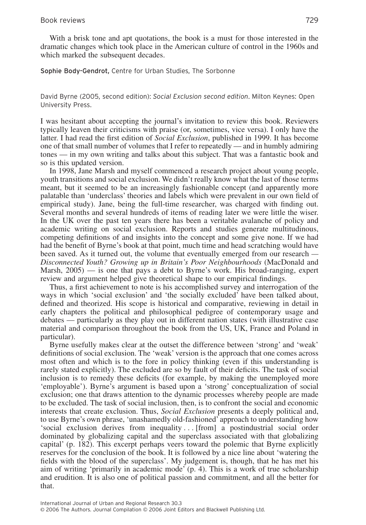With a brisk tone and apt quotations, the book is a must for those interested in the dramatic changes which took place in the American culture of control in the 1960s and which marked the subsequent decades.

Sophie Body-Gendrot, Centre for Urban Studies, The Sorbonne

David Byrne (2005, second edition): *Social Exclusion second edition*. Milton Keynes: Open University Press.

I was hesitant about accepting the journal's invitation to review this book. Reviewers typically leaven their criticisms with praise (or, sometimes, vice versa). I only have the latter. I had read the first edition of *Social Exclusion*, published in 1999. It has become one of that small number of volumes that I refer to repeatedly — and in humbly admiring tones — in my own writing and talks about this subject. That was a fantastic book and so is this updated version.

In 1998, Jane Marsh and myself commenced a research project about young people, youth transitions and social exclusion. We didn't really know what the last of those terms meant, but it seemed to be an increasingly fashionable concept (and apparently more palatable than 'underclass' theories and labels which were prevalent in our own field of empirical study). Jane, being the full-time researcher, was charged with finding out. Several months and several hundreds of items of reading later we were little the wiser. In the UK over the past ten years there has been a veritable avalanche of policy and academic writing on social exclusion. Reports and studies generate multitudinous, competing definitions of and insights into the concept and some give none. If we had had the benefit of Byrne's book at that point, much time and head scratching would have been saved. As it turned out, the volume that eventually emerged from our research *— Disconnected Youth? Growing up in Britain's Poor Neighbourhoods* (MacDonald and Marsh,  $2005$  — is one that pays a debt to Byrne's work. His broad-ranging, expert review and argument helped give theoretical shape to our empirical findings.

Thus, a first achievement to note is his accomplished survey and interrogation of the ways in which 'social exclusion' and 'the socially excluded' have been talked about, defined and theorized. His scope is historical and comparative, reviewing in detail in early chapters the political and philosophical pedigree of contemporary usage and debates — particularly as they play out in different nation states (with illustrative case material and comparison throughout the book from the US, UK, France and Poland in particular).

Byrne usefully makes clear at the outset the difference between 'strong' and 'weak' definitions of social exclusion. The 'weak' version is the approach that one comes across most often and which is to the fore in policy thinking (even if this understanding is rarely stated explicitly). The excluded are so by fault of their deficits. The task of social inclusion is to remedy these deficits (for example, by making the unemployed more 'employable'). Byrne's argument is based upon a 'strong' conceptualization of social exclusion; one that draws attention to the dynamic processes whereby people are made to be excluded. The task of social inclusion, then, is to confront the social and economic interests that create exclusion. Thus, *Social Exclusion* presents a deeply political and, to use Byrne's own phrase, 'unashamedly old-fashioned' approach to understanding how 'social exclusion derives from inequality . . . [from] a postindustrial social order dominated by globalizing capital and the superclass associated with that globalizing capital' (p. 182). This excerpt perhaps veers toward the polemic that Byrne explicitly reserves for the conclusion of the book. It is followed by a nice line about 'watering the fields with the blood of the superclass'. My judgement is, though, that he has met his aim of writing 'primarily in academic mode' (p. 4). This is a work of true scholarship and erudition. It is also one of political passion and commitment, and all the better for that.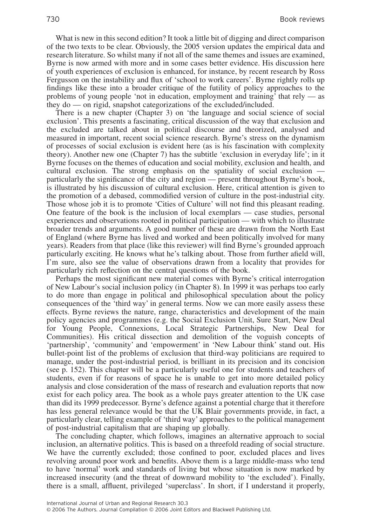What is new in this second edition? It took a little bit of digging and direct comparison of the two texts to be clear. Obviously, the 2005 version updates the empirical data and research literature. So whilst many if not all of the same themes and issues are examined, Byrne is now armed with more and in some cases better evidence. His discussion here of youth experiences of exclusion is enhanced, for instance, by recent research by Ross Fergusson on the instability and flux of 'school to work careers'. Byrne rightly rolls up findings like these into a broader critique of the futility of policy approaches to the problems of young people 'not in education, employment and training' that rely — as they do — on rigid, snapshot categorizations of the excluded/included.

There is a new chapter (Chapter 3) on 'the language and social science of social exclusion'. This presents a fascinating, critical discussion of the way that exclusion and the excluded are talked about in political discourse and theorized, analysed and measured in important, recent social science research. Byrne's stress on the dynamism of processes of social exclusion is evident here (as is his fascination with complexity theory). Another new one (Chapter 7) has the subtitle 'exclusion in everyday life'; in it Byrne focuses on the themes of education and social mobility, exclusion and health, and cultural exclusion. The strong emphasis on the spatiality of social exclusion particularly the significance of the city and region — present throughout Byrne's book, is illustrated by his discussion of cultural exclusion. Here, critical attention is given to the promotion of a debased, commodified version of culture in the post-industrial city. Those whose job it is to promote 'Cities of Culture' will not find this pleasant reading. One feature of the book is the inclusion of local exemplars — case studies, personal experiences and observations rooted in political participation — with which to illustrate broader trends and arguments. A good number of these are drawn from the North East of England (where Byrne has lived and worked and been politically involved for many years). Readers from that place (like this reviewer) will find Byrne's grounded approach particularly exciting. He knows what he's talking about. Those from further afield will, I'm sure, also see the value of observations drawn from a locality that provides for particularly rich reflection on the central questions of the book.

Perhaps the most significant new material comes with Byrne's critical interrogation of New Labour's social inclusion policy (in Chapter 8). In 1999 it was perhaps too early to do more than engage in political and philosophical speculation about the policy consequences of the 'third way' in general terms. Now we can more easily assess these effects. Byrne reviews the nature, range, characteristics and development of the main policy agencies and programmes (e.g. the Social Exclusion Unit, Sure Start, New Deal for Young People, Connexions, Local Strategic Partnerships, New Deal for Communities). His critical dissection and demolition of the voguish concepts of 'partnership', 'community' and 'empowerment' in 'New Labour think' stand out. His bullet-point list of the problems of exclusion that third-way politicians are required to manage, under the post-industrial period, is brilliant in its precision and its concision (see p. 152). This chapter will be a particularly useful one for students and teachers of students, even if for reasons of space he is unable to get into more detailed policy analysis and close consideration of the mass of research and evaluation reports that now exist for each policy area. The book as a whole pays greater attention to the UK case than did its 1999 predecessor. Byrne's defence against a potential charge that it therefore has less general relevance would be that the UK Blair governments provide, in fact, a particularly clear, telling example of 'third way' approaches to the political management of post-industrial capitalism that are shaping up globally.

The concluding chapter, which follows, imagines an alternative approach to social inclusion, an alternative politics. This is based on a threefold reading of social structure. We have the currently excluded; those confined to poor, excluded places and lives revolving around poor work and benefits. Above them is a large middle-mass who tend to have 'normal' work and standards of living but whose situation is now marked by increased insecurity (and the threat of downward mobility to 'the excluded'). Finally, there is a small, affluent, privileged 'superclass'. In short, if I understand it properly,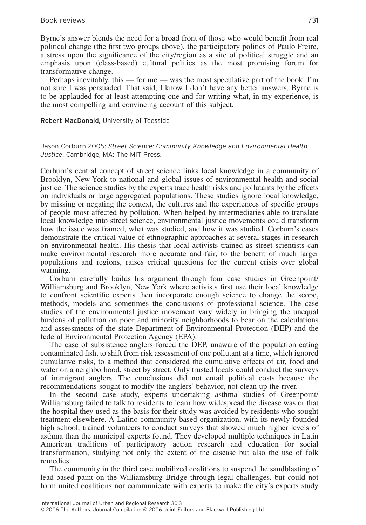Byrne's answer blends the need for a broad front of those who would benefit from real political change (the first two groups above), the participatory politics of Paulo Freire, a stress upon the significance of the city/region as a site of political struggle and an emphasis upon (class-based) cultural politics as the most promising forum for transformative change.

Perhaps inevitably, this — for me — was the most speculative part of the book. I'm not sure I was persuaded. That said, I know I don't have any better answers. Byrne is to be applauded for at least attempting one and for writing what, in my experience, is the most compelling and convincing account of this subject.

Robert MacDonald, University of Teesside

## Jason Corburn 2005: *Street Science: Community Knowledge and Environmental Health Justice*. Cambridge, MA: The MIT Press.

Corburn's central concept of street science links local knowledge in a community of Brooklyn, New York to national and global issues of environmental health and social justice. The science studies by the experts trace health risks and pollutants by the effects on individuals or large aggregated populations. These studies ignore local knowledge, by missing or negating the context, the cultures and the experiences of specific groups of people most affected by pollution. When helped by intermediaries able to translate local knowledge into street science, environmental justice movements could transform how the issue was framed, what was studied, and how it was studied. Corburn's cases demonstrate the critical value of ethnographic approaches at several stages in research on environmental health. His thesis that local activists trained as street scientists can make environmental research more accurate and fair, to the benefit of much larger populations and regions, raises critical questions for the current crisis over global warming.

Corburn carefully builds his argument through four case studies in Greenpoint/ Williamsburg and Brooklyn, New York where activists first use their local knowledge to confront scientific experts then incorporate enough science to change the scope, methods, models and sometimes the conclusions of professional science. The case studies of the environmental justice movement vary widely in bringing the unequal burdens of pollution on poor and minority neighborhoods to bear on the calculations and assessments of the state Department of Environmental Protection (DEP) and the federal Environmental Protection Agency (EPA).

The case of subsistence anglers forced the DEP, unaware of the population eating contaminated fish, to shift from risk assessment of one pollutant at a time, which ignored cumulative risks, to a method that considered the cumulative effects of air, food and water on a neighborhood, street by street. Only trusted locals could conduct the surveys of immigrant anglers. The conclusions did not entail political costs because the recommendations sought to modify the anglers' behavior, not clean up the river.

In the second case study, experts undertaking asthma studies of Greenpoint/ Williamsburg failed to talk to residents to learn how widespread the disease was or that the hospital they used as the basis for their study was avoided by residents who sought treatment elsewhere. A Latino community-based organization, with its newly founded high school, trained volunteers to conduct surveys that showed much higher levels of asthma than the municipal experts found. They developed multiple techniques in Latin American traditions of participatory action research and education for social transformation, studying not only the extent of the disease but also the use of folk remedies.

The community in the third case mobilized coalitions to suspend the sandblasting of lead-based paint on the Williamsburg Bridge through legal challenges, but could not form united coalitions nor communicate with experts to make the city's experts study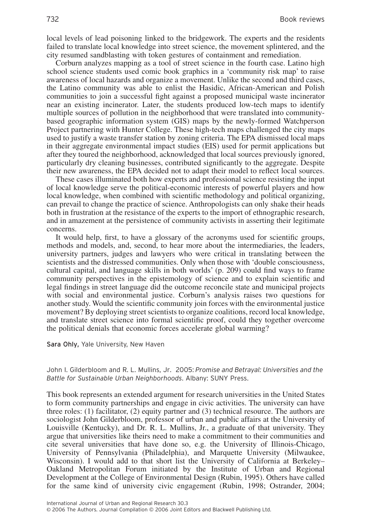local levels of lead poisoning linked to the bridgework. The experts and the residents failed to translate local knowledge into street science, the movement splintered, and the city resumed sandblasting with token gestures of containment and remediation.

Corburn analyzes mapping as a tool of street science in the fourth case. Latino high school science students used comic book graphics in a 'community risk map' to raise awareness of local hazards and organize a movement. Unlike the second and third cases, the Latino community was able to enlist the Hasidic, African-American and Polish communities to join a successful fight against a proposed municipal waste incinerator near an existing incinerator. Later, the students produced low-tech maps to identify multiple sources of pollution in the neighborhood that were translated into communitybased geographic information system (GIS) maps by the newly-formed Watchperson Project partnering with Hunter College. These high-tech maps challenged the city maps used to justify a waste transfer station by zoning criteria. The EPA dismissed local maps in their aggregate environmental impact studies (EIS) used for permit applications but after they toured the neighborhood, acknowledged that local sources previously ignored, particularly dry cleaning businesses, contributed significantly to the aggregate. Despite their new awareness, the EPA decided not to adapt their model to reflect local sources.

These cases illuminated both how experts and professional science resisting the input of local knowledge serve the political-economic interests of powerful players and how local knowledge, when combined with scientific methodology and political organizing, can prevail to change the practice of science. Anthropologists can only shake their heads both in frustration at the resistance of the experts to the import of ethnographic research, and in amazement at the persistence of community activists in asserting their legitimate concerns.

It would help, first, to have a glossary of the acronyms used for scientific groups, methods and models, and, second, to hear more about the intermediaries, the leaders, university partners, judges and lawyers who were critical in translating between the scientists and the distressed communities. Only when those with 'double consciousness, cultural capital, and language skills in both worlds' (p. 209) could find ways to frame community perspectives in the epistemology of science and to explain scientific and legal findings in street language did the outcome reconcile state and municipal projects with social and environmental justice. Corburn's analysis raises two questions for another study. Would the scientific community join forces with the environmental justice movement? By deploying street scientists to organize coalitions, record local knowledge, and translate street science into formal scientific proof, could they together overcome the political denials that economic forces accelerate global warming?

Sara Ohly, Yale University, New Haven

#### John I. Gilderbloom and R. L. Mullins, Jr. 2005: *Promise and Betrayal: Universities and the Battle for Sustainable Urban Neighborhoods*. Albany: SUNY Press.

This book represents an extended argument for research universities in the United States to form community partnerships and engage in civic activities. The university can have three roles: (1) facilitator, (2) equity partner and (3) technical resource. The authors are sociologist John Gilderbloom, professor of urban and public affairs at the University of Louisville (Kentucky), and Dr. R. L. Mullins, Jr., a graduate of that university. They argue that universities like theirs need to make a commitment to their communities and cite several universities that have done so, e.g. the University of Illinois-Chicago, University of Pennsylvania (Philadelphia), and Marquette University (Milwaukee, Wisconsin). I would add to that short list the University of California at Berkeley– Oakland Metropolitan Forum initiated by the Institute of Urban and Regional Development at the College of Environmental Design (Rubin, 1995). Others have called for the same kind of university civic engagement (Rubin, 1998; Ostrander, 2004;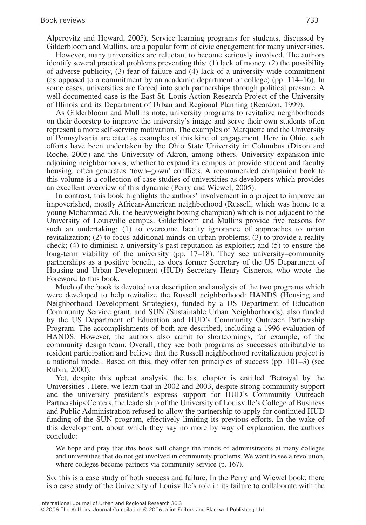Alperovitz and Howard, 2005). Service learning programs for students, discussed by Gilderbloom and Mullins, are a popular form of civic engagement for many universities.

However, many universities are reluctant to become seriously involved. The authors identify several practical problems preventing this: (1) lack of money, (2) the possibility of adverse publicity, (3) fear of failure and (4) lack of a university-wide commitment (as opposed to a commitment by an academic department or college) (pp. 114–16). In some cases, universities are forced into such partnerships through political pressure. A well-documented case is the East St. Louis Action Research Project of the University of Illinois and its Department of Urban and Regional Planning (Reardon, 1999).

As Gilderbloom and Mullins note, university programs to revitalize neighborhoods on their doorstep to improve the university's image and serve their own students often represent a more self-serving motivation. The examples of Marquette and the University of Pennsylvania are cited as examples of this kind of engagement. Here in Ohio, such efforts have been undertaken by the Ohio State University in Columbus (Dixon and Roche, 2005) and the University of Akron, among others. University expansion into adjoining neighborhoods, whether to expand its campus or provide student and faculty housing, often generates 'town–gown' conflicts. A recommended companion book to this volume is a collection of case studies of universities as developers which provides an excellent overview of this dynamic (Perry and Wiewel, 2005).

In contrast, this book highlights the authors' involvement in a project to improve an impoverished, mostly African-American neighborhood (Russell, which was home to a young Mohammad Ali, the heavyweight boxing champion) which is not adjacent to the University of Louisville campus. Gilderbloom and Mullins provide five reasons for such an undertaking: (1) to overcome faculty ignorance of approaches to urban revitalization; (2) to focus additional minds on urban problems; (3) to provide a reality check; (4) to diminish a university's past reputation as exploiter; and (5) to ensure the long-term viability of the university (pp. 17–18). They see university–community partnerships as a positive benefit, as does former Secretary of the US Department of Housing and Urban Development (HUD) Secretary Henry Cisneros, who wrote the Foreword to this book.

Much of the book is devoted to a description and analysis of the two programs which were developed to help revitalize the Russell neighborhood: HANDS (Housing and Neighborhood Development Strategies), funded by a US Department of Education Community Service grant, and SUN (Sustainable Urban Neighborhoods), also funded by the US Department of Education and HUD's Community Outreach Partnership Program. The accomplishments of both are described, including a 1996 evaluation of HANDS. However, the authors also admit to shortcomings, for example, of the community design team. Overall, they see both programs as successes attributable to resident participation and believe that the Russell neighborhood revitalization project is a national model. Based on this, they offer ten principles of success (pp. 101–3) (see Rubin, 2000).

Yet, despite this upbeat analysis, the last chapter is entitled 'Betrayal by the Universities'. Here, we learn that in 2002 and 2003, despite strong community support and the university president's express support for HUD's Community Outreach Partnerships Centers, the leadership of the University of Louisville's College of Business and Public Administration refused to allow the partnership to apply for continued HUD funding of the SUN program, effectively limiting its previous efforts. In the wake of this development, about which they say no more by way of explanation, the authors conclude:

We hope and pray that this book will change the minds of administrators at many colleges and universities that do not get involved in community problems. We want to see a revolution, where colleges become partners via community service (p. 167).

So, this is a case study of both success and failure. In the Perry and Wiewel book, there is a case study of the University of Louisville's role in its failure to collaborate with the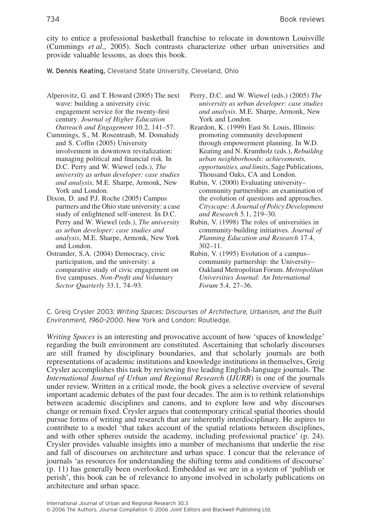city to entice a professional basketball franchise to relocate in downtown Louisville (Cummings *et al*., 2005). Such contrasts characterize other urban universities and provide valuable lessons, as does this book.

W. Dennis Keating, Cleveland State University, Cleveland, Ohio

- Alperovitz, G. and T. Howard (2005) The next wave: building a university civic engagement service for the twenty-first century. *Journal of Higher Education Outreach and Engagement* 10.2, 141–57.
- Cummings, S., M. Rosentraub, M. Domahidy and S. Coffin (2005) University involvement in downtown revitalization: managing political and financial risk. In D.C. Perry and W. Wiewel (eds.), *The university as urban developer: case studies and analysis*, M.E. Sharpe, Armonk, New York and London.
- Dixon, D. and P.J. Roche (2005) Campus partners and the Ohio state university: a case study of enlightened self-interest. In D.C. Perry and W. Wiewel (eds.), *The university as urban developer: case studies and analysis*, M.E. Sharpe, Armonk, New York and London.
- Ostrander, S.A. (2004) Democracy, civic participation, and the university: a comparative study of civic engagement on five campuses. *Non-Profit and Voluntary Sector Quarterly* 33.1, 74–93.
- Perry, D.C. and W. Wiewel (eds.) (2005) *The university as urban developer: case studies and analysis*. M.E. Sharpe, Armonk, New York and London.
- Reardon, K. (1999) East St. Louis, Illinois: promoting community development through empowerment planning. In W.D. Keating and N. Krumholz (eds.), *Rebuildng urban neighborhoods: achievements, opportunities, and limits*, Sage Publications, Thousand Oaks, CA and London.
- Rubin, V. (2000) Evaluating university– community partnerships: an examination of the evolution of questions and approaches. *Cityscape: A Journal of Policy Development and Research* 5.1, 219–30.
- Rubin, V. (1998) The roles of universities in community-building initiatives. *Journal of Planning Education and Research* 17.4, 302–11.
- Rubin, V. (1995) Evolution of a campus– community partnership: the University– Oakland Metropolitan Forum. *Metropolitan Universities Journal: An International Forum* 5.4, 27–36.

C. Greig Crysler 2003: *Writing Spaces: Discourses of Architecture, Urbanism, and the Built Environment, 1960–2000*. New York and London: Routledge.

*Writing Spaces* is an interesting and provocative account of how 'spaces of knowledge' regarding the built environment are constituted. Ascertaining that scholarly discourses are still framed by disciplinary boundaries, and that scholarly journals are both representations of academic institutions and knowledge institutions in themselves, Greig Crysler accomplishes this task by reviewing five leading English-language journals. The *International Journal of Urban and Regional Research* (*IJURR*) is one of the journals under review. Written in a critical mode, the book gives a selective overview of several important academic debates of the past four decades. The aim is to rethink relationships between academic disciplines and canons, and to explore how and why discourses change or remain fixed. Crysler argues that contemporary critical spatial theories should pursue forms of writing and research that are inherently interdisciplinary. He aspires to contribute to a model 'that takes account of the spatial relations between disciplines, and with other spheres outside the academy, including professional practice' (p. 24). Crysler provides valuable insights into a number of mechanisms that underlie the rise and fall of discourses on architecture and urban space. I concur that the relevance of journals 'as resources for understanding the shifting terms and conditions of discourse' (p. 11) has generally been overlooked. Embedded as we are in a system of 'publish or perish', this book can be of relevance to anyone involved in scholarly publications on architecture and urban space.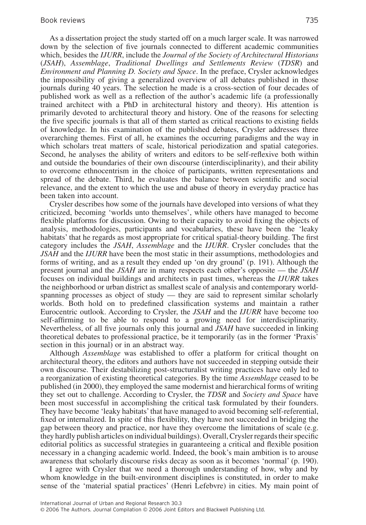As a dissertation project the study started off on a much larger scale. It was narrowed down by the selection of five journals connected to different academic communities which, besides the *IJURR*, include the *Journal of the Society of Architectural Historians* (*JSAH*), *Assemblage*, *Traditional Dwellings and Settlements Review* (*TDSR*) and *Environment and Planning D. Society and Space*. In the preface, Crysler acknowledges the impossibility of giving a generalized overview of all debates published in those journals during 40 years. The selection he made is a cross-section of four decades of published work as well as a reflection of the author's academic life (a professionally trained architect with a PhD in architectural history and theory). His attention is primarily devoted to architectural theory and history. One of the reasons for selecting the five specific journals is that all of them started as critical reactions to existing fields of knowledge. In his examination of the published debates, Crysler addresses three overarching themes. First of all, he examines the occurring paradigms and the way in which scholars treat matters of scale, historical periodization and spatial categories. Second, he analyses the ability of writers and editors to be self-reflexive both within and outside the boundaries of their own discourse (interdisciplinarity), and their ability to overcome ethnocentrism in the choice of participants, written representations and spread of the debate. Third, he evaluates the balance between scientific and social relevance, and the extent to which the use and abuse of theory in everyday practice has been taken into account.

Crysler describes how some of the journals have developed into versions of what they criticized, becoming 'worlds unto themselves', while others have managed to become flexible platforms for discussion. Owing to their capacity to avoid fixing the objects of analysis, methodologies, participants and vocabularies, these have been the 'leaky habitats' that he regards as most appropriate for critical spatial-theory building. The first category includes the *JSAH*, *Assemblage* and the *IJURR*. Crysler concludes that the *JSAH* and the *IJURR* have been the most static in their assumptions, methodologies and forms of writing, and as a result they ended up 'on dry ground' (p. 191). Although the present journal and the *JSAH* are in many respects each other's opposite — the *JSAH* focuses on individual buildings and architects in past times, whereas the *IJURR* takes the neighborhood or urban district as smallest scale of analysis and contemporary worldspanning processes as object of study — they are said to represent similar scholarly worlds. Both hold on to predefined classification systems and maintain a rather Eurocentric outlook. According to Crysler, the *JSAH* and the *IJURR* have become too self-affirming to be able to respond to a growing need for interdisciplinarity. Nevertheless, of all five journals only this journal and *JSAH* have succeeded in linking theoretical debates to professional practice, be it temporarily (as in the former 'Praxis' section in this journal) or in an abstract way.

Although *Assemblage* was established to offer a platform for critical thought on architectural theory, the editors and authors have not succeeded in stepping outside their own discourse. Their destabilizing post-structuralist writing practices have only led to a reorganization of existing theoretical categories. By the time *Assemblage* ceased to be published (in 2000), they employed the same modernist and hierarchical forms of writing they set out to challenge. According to Crysler, the *TDSR* and *Society and Space* have been most successful in accomplishing the critical task formulated by their founders. They have become 'leaky habitats' that have managed to avoid becoming self-referential, fixed or internalized. In spite of this flexibility, they have not succeeded in bridging the gap between theory and practice, nor have they overcome the limitations of scale (e.g. they hardly publish articles on individual buildings). Overall, Crysler regards their specific editorial politics as successful strategies in guaranteeing a critical and flexible position necessary in a changing academic world. Indeed, the book's main ambition is to arouse awareness that scholarly discourse risks decay as soon as it becomes 'normal' (p. 190).

I agree with Crysler that we need a thorough understanding of how, why and by whom knowledge in the built-environment disciplines is constituted, in order to make sense of the 'material spatial practices' (Henri Lefebvre) in cities. My main point of